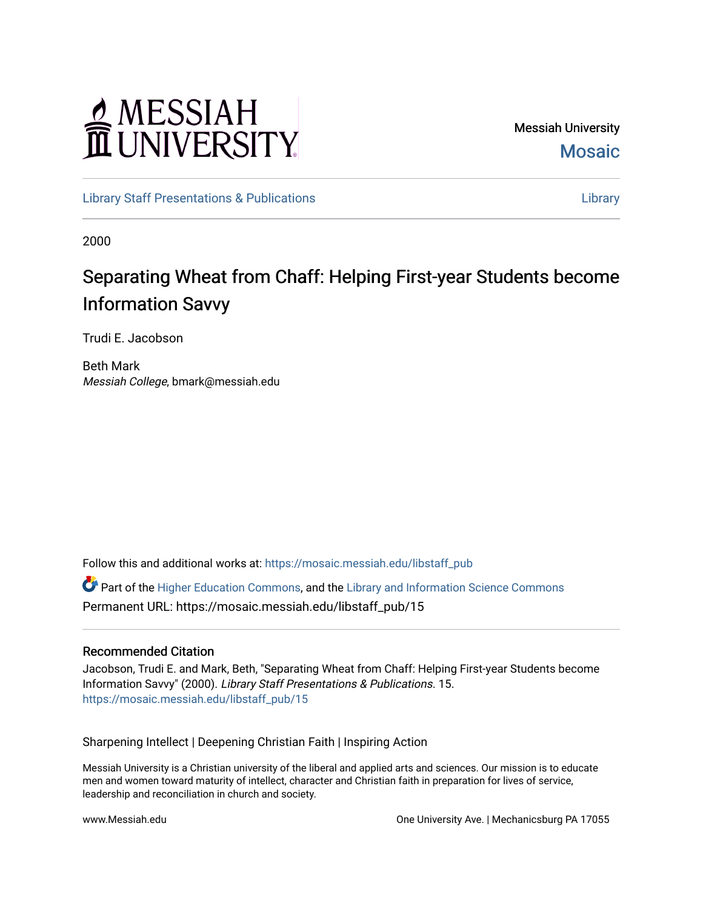# MESSIAH

Messiah University **Mosaic** 

[Library Staff Presentations & Publications](https://mosaic.messiah.edu/libstaff_pub) [Library](https://mosaic.messiah.edu/library) 

2000

# Separating Wheat from Chaff: Helping First-year Students become Information Savvy

Trudi E. Jacobson

Beth Mark Messiah College, bmark@messiah.edu

Follow this and additional works at: [https://mosaic.messiah.edu/libstaff\\_pub](https://mosaic.messiah.edu/libstaff_pub?utm_source=mosaic.messiah.edu%2Flibstaff_pub%2F15&utm_medium=PDF&utm_campaign=PDFCoverPages) 

Part of the [Higher Education Commons,](http://network.bepress.com/hgg/discipline/1245?utm_source=mosaic.messiah.edu%2Flibstaff_pub%2F15&utm_medium=PDF&utm_campaign=PDFCoverPages) and the [Library and Information Science Commons](http://network.bepress.com/hgg/discipline/1018?utm_source=mosaic.messiah.edu%2Flibstaff_pub%2F15&utm_medium=PDF&utm_campaign=PDFCoverPages)  Permanent URL: https://mosaic.messiah.edu/libstaff\_pub/15

#### Recommended Citation

Jacobson, Trudi E. and Mark, Beth, "Separating Wheat from Chaff: Helping First-year Students become Information Savvy" (2000). Library Staff Presentations & Publications. 15. [https://mosaic.messiah.edu/libstaff\\_pub/15](https://mosaic.messiah.edu/libstaff_pub/15?utm_source=mosaic.messiah.edu%2Flibstaff_pub%2F15&utm_medium=PDF&utm_campaign=PDFCoverPages) 

Sharpening Intellect | Deepening Christian Faith | Inspiring Action

Messiah University is a Christian university of the liberal and applied arts and sciences. Our mission is to educate men and women toward maturity of intellect, character and Christian faith in preparation for lives of service, leadership and reconciliation in church and society.

www.Messiah.edu One University Ave. | Mechanicsburg PA 17055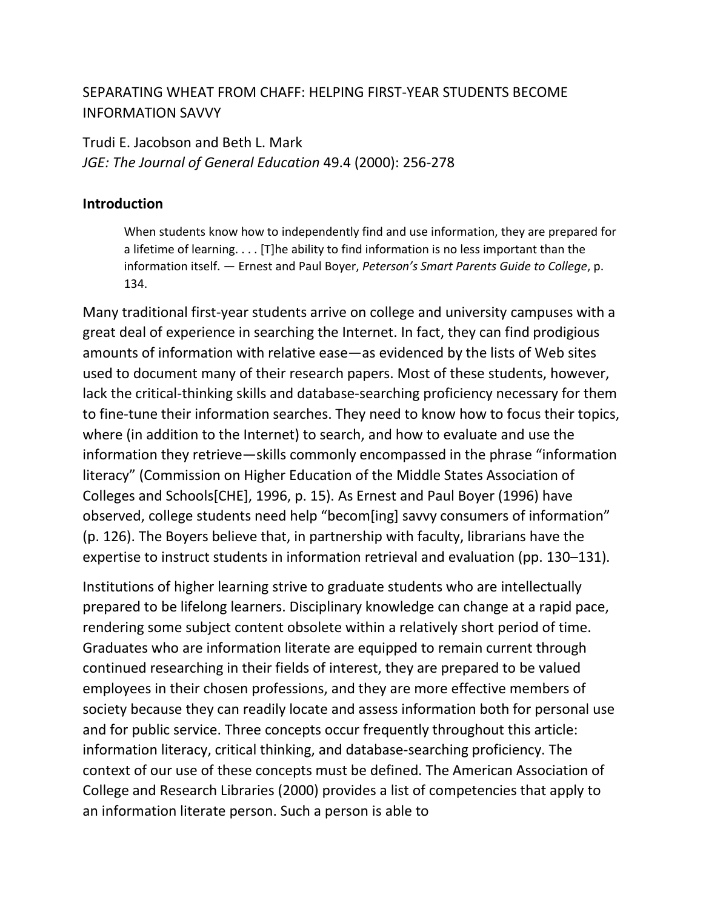# SEPARATING WHEAT FROM CHAFF: HELPING FIRST-YEAR STUDENTS BECOME INFORMATION SAVVY

Trudi E. Jacobson and Beth L. Mark *JGE: The Journal of General Education* 49.4 (2000): 256-278

#### **Introduction**

When students know how to independently find and use information, they are prepared for a lifetime of learning. . . . [T]he ability to find information is no less important than the information itself. — Ernest and Paul Boyer, *Peterson's Smart Parents Guide to College*, p. 134.

Many traditional first-year students arrive on college and university campuses with a great deal of experience in searching the Internet. In fact, they can find prodigious amounts of information with relative ease—as evidenced by the lists of Web sites used to document many of their research papers. Most of these students, however, lack the critical-thinking skills and database-searching proficiency necessary for them to fine-tune their information searches. They need to know how to focus their topics, where (in addition to the Internet) to search, and how to evaluate and use the information they retrieve—skills commonly encompassed in the phrase "information literacy" (Commission on Higher Education of the Middle States Association of Colleges and Schools[CHE], 1996, p. 15). As Ernest and Paul Boyer (1996) have observed, college students need help "becom[ing] savvy consumers of information" (p. 126). The Boyers believe that, in partnership with faculty, librarians have the expertise to instruct students in information retrieval and evaluation (pp. 130–131).

Institutions of higher learning strive to graduate students who are intellectually prepared to be lifelong learners. Disciplinary knowledge can change at a rapid pace, rendering some subject content obsolete within a relatively short period of time. Graduates who are information literate are equipped to remain current through continued researching in their fields of interest, they are prepared to be valued employees in their chosen professions, and they are more effective members of society because they can readily locate and assess information both for personal use and for public service. Three concepts occur frequently throughout this article: information literacy, critical thinking, and database-searching proficiency. The context of our use of these concepts must be defined. The American Association of College and Research Libraries (2000) provides a list of competencies that apply to an information literate person. Such a person is able to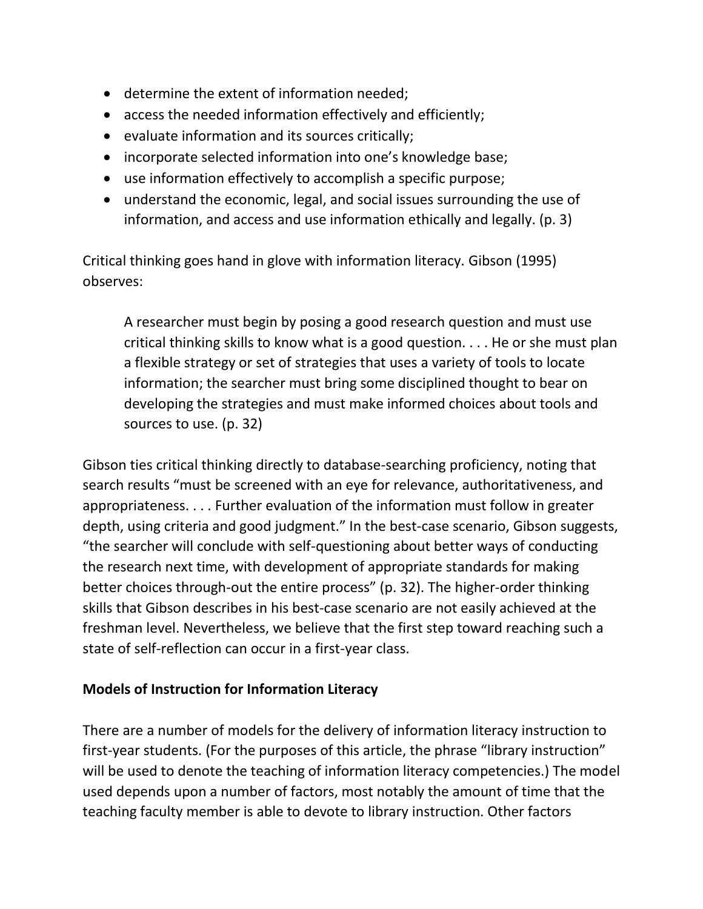- determine the extent of information needed;
- access the needed information effectively and efficiently;
- evaluate information and its sources critically;
- incorporate selected information into one's knowledge base;
- use information effectively to accomplish a specific purpose;
- understand the economic, legal, and social issues surrounding the use of information, and access and use information ethically and legally. (p. 3)

Critical thinking goes hand in glove with information literacy. Gibson (1995) observes:

A researcher must begin by posing a good research question and must use critical thinking skills to know what is a good question. . . . He or she must plan a flexible strategy or set of strategies that uses a variety of tools to locate information; the searcher must bring some disciplined thought to bear on developing the strategies and must make informed choices about tools and sources to use. (p. 32)

Gibson ties critical thinking directly to database-searching proficiency, noting that search results "must be screened with an eye for relevance, authoritativeness, and appropriateness. . . . Further evaluation of the information must follow in greater depth, using criteria and good judgment." In the best-case scenario, Gibson suggests, "the searcher will conclude with self-questioning about better ways of conducting the research next time, with development of appropriate standards for making better choices through-out the entire process" (p. 32). The higher-order thinking skills that Gibson describes in his best-case scenario are not easily achieved at the freshman level. Nevertheless, we believe that the first step toward reaching such a state of self-reflection can occur in a first-year class.

### **Models of Instruction for Information Literacy**

There are a number of models for the delivery of information literacy instruction to first-year students. (For the purposes of this article, the phrase "library instruction" will be used to denote the teaching of information literacy competencies.) The model used depends upon a number of factors, most notably the amount of time that the teaching faculty member is able to devote to library instruction. Other factors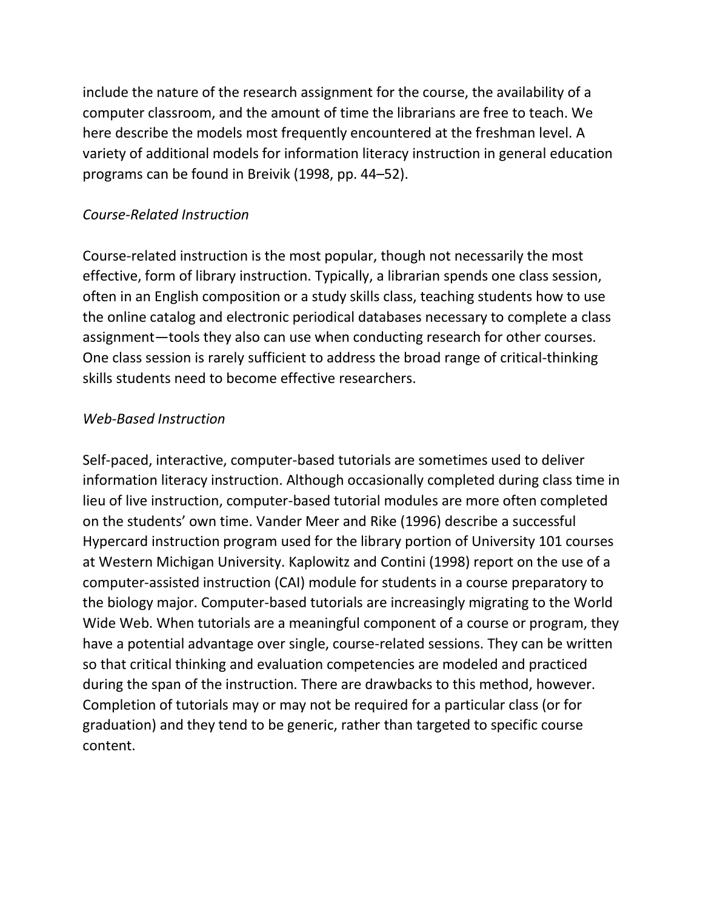include the nature of the research assignment for the course, the availability of a computer classroom, and the amount of time the librarians are free to teach. We here describe the models most frequently encountered at the freshman level. A variety of additional models for information literacy instruction in general education programs can be found in Breivik (1998, pp. 44–52).

#### *Course-Related Instruction*

Course-related instruction is the most popular, though not necessarily the most effective, form of library instruction. Typically, a librarian spends one class session, often in an English composition or a study skills class, teaching students how to use the online catalog and electronic periodical databases necessary to complete a class assignment—tools they also can use when conducting research for other courses. One class session is rarely sufficient to address the broad range of critical-thinking skills students need to become effective researchers.

#### *Web-Based Instruction*

Self-paced, interactive, computer-based tutorials are sometimes used to deliver information literacy instruction. Although occasionally completed during class time in lieu of live instruction, computer-based tutorial modules are more often completed on the students' own time. Vander Meer and Rike (1996) describe a successful Hypercard instruction program used for the library portion of University 101 courses at Western Michigan University. Kaplowitz and Contini (1998) report on the use of a computer-assisted instruction (CAI) module for students in a course preparatory to the biology major. Computer-based tutorials are increasingly migrating to the World Wide Web. When tutorials are a meaningful component of a course or program, they have a potential advantage over single, course-related sessions. They can be written so that critical thinking and evaluation competencies are modeled and practiced during the span of the instruction. There are drawbacks to this method, however. Completion of tutorials may or may not be required for a particular class (or for graduation) and they tend to be generic, rather than targeted to specific course content.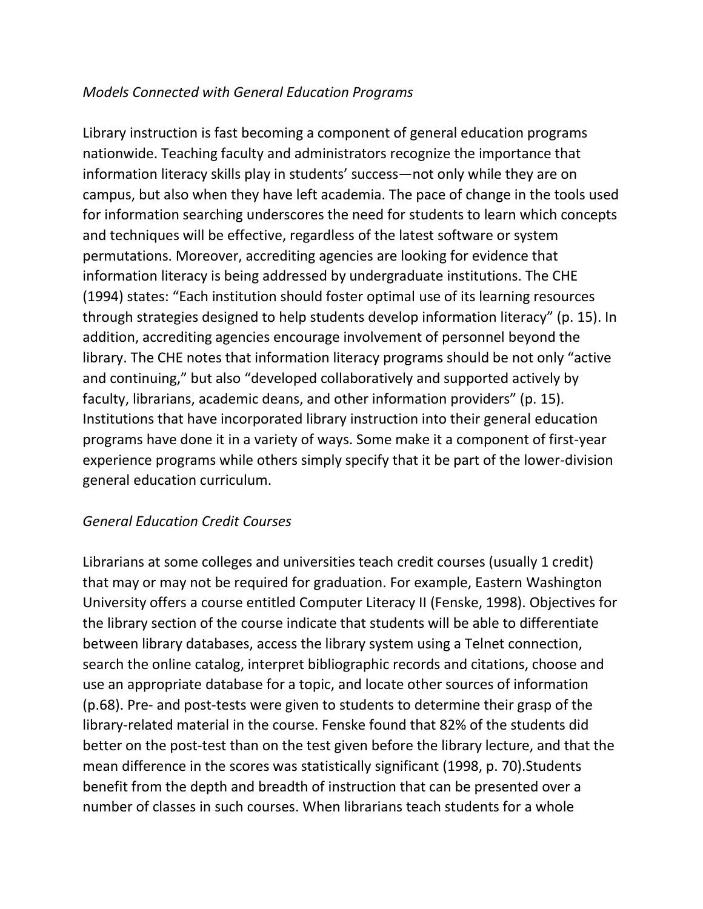#### *Models Connected with General Education Programs*

Library instruction is fast becoming a component of general education programs nationwide. Teaching faculty and administrators recognize the importance that information literacy skills play in students' success—not only while they are on campus, but also when they have left academia. The pace of change in the tools used for information searching underscores the need for students to learn which concepts and techniques will be effective, regardless of the latest software or system permutations. Moreover, accrediting agencies are looking for evidence that information literacy is being addressed by undergraduate institutions. The CHE (1994) states: "Each institution should foster optimal use of its learning resources through strategies designed to help students develop information literacy" (p. 15). In addition, accrediting agencies encourage involvement of personnel beyond the library. The CHE notes that information literacy programs should be not only "active and continuing," but also "developed collaboratively and supported actively by faculty, librarians, academic deans, and other information providers" (p. 15). Institutions that have incorporated library instruction into their general education programs have done it in a variety of ways. Some make it a component of first-year experience programs while others simply specify that it be part of the lower-division general education curriculum.

### *General Education Credit Courses*

Librarians at some colleges and universities teach credit courses (usually 1 credit) that may or may not be required for graduation. For example, Eastern Washington University offers a course entitled Computer Literacy II (Fenske, 1998). Objectives for the library section of the course indicate that students will be able to differentiate between library databases, access the library system using a Telnet connection, search the online catalog, interpret bibliographic records and citations, choose and use an appropriate database for a topic, and locate other sources of information (p.68). Pre- and post-tests were given to students to determine their grasp of the library-related material in the course. Fenske found that 82% of the students did better on the post-test than on the test given before the library lecture, and that the mean difference in the scores was statistically significant (1998, p. 70).Students benefit from the depth and breadth of instruction that can be presented over a number of classes in such courses. When librarians teach students for a whole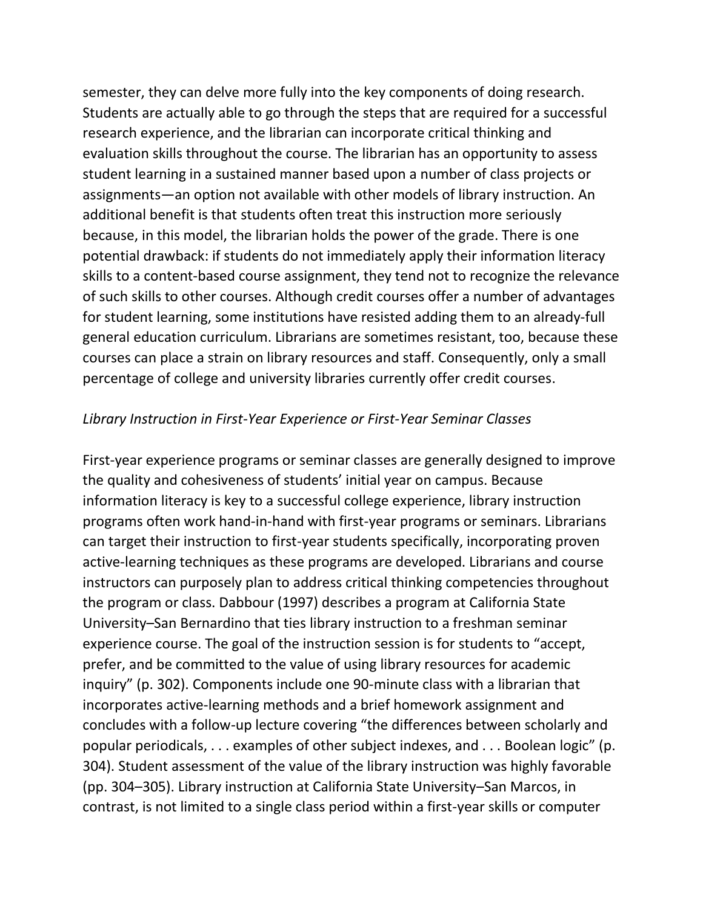semester, they can delve more fully into the key components of doing research. Students are actually able to go through the steps that are required for a successful research experience, and the librarian can incorporate critical thinking and evaluation skills throughout the course. The librarian has an opportunity to assess student learning in a sustained manner based upon a number of class projects or assignments—an option not available with other models of library instruction. An additional benefit is that students often treat this instruction more seriously because, in this model, the librarian holds the power of the grade. There is one potential drawback: if students do not immediately apply their information literacy skills to a content-based course assignment, they tend not to recognize the relevance of such skills to other courses. Although credit courses offer a number of advantages for student learning, some institutions have resisted adding them to an already-full general education curriculum. Librarians are sometimes resistant, too, because these courses can place a strain on library resources and staff. Consequently, only a small percentage of college and university libraries currently offer credit courses.

#### *Library Instruction in First-Year Experience or First-Year Seminar Classes*

First-year experience programs or seminar classes are generally designed to improve the quality and cohesiveness of students' initial year on campus. Because information literacy is key to a successful college experience, library instruction programs often work hand-in-hand with first-year programs or seminars. Librarians can target their instruction to first-year students specifically, incorporating proven active-learning techniques as these programs are developed. Librarians and course instructors can purposely plan to address critical thinking competencies throughout the program or class. Dabbour (1997) describes a program at California State University–San Bernardino that ties library instruction to a freshman seminar experience course. The goal of the instruction session is for students to "accept, prefer, and be committed to the value of using library resources for academic inquiry" (p. 302). Components include one 90-minute class with a librarian that incorporates active-learning methods and a brief homework assignment and concludes with a follow-up lecture covering "the differences between scholarly and popular periodicals, . . . examples of other subject indexes, and . . . Boolean logic" (p. 304). Student assessment of the value of the library instruction was highly favorable (pp. 304–305). Library instruction at California State University–San Marcos, in contrast, is not limited to a single class period within a first-year skills or computer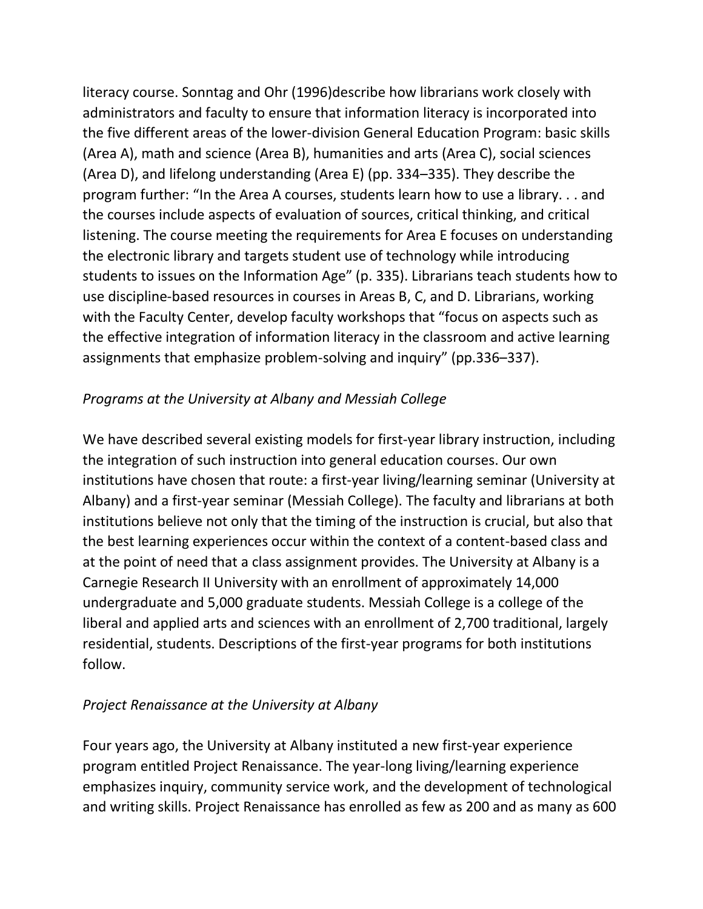literacy course. Sonntag and Ohr (1996)describe how librarians work closely with administrators and faculty to ensure that information literacy is incorporated into the five different areas of the lower-division General Education Program: basic skills (Area A), math and science (Area B), humanities and arts (Area C), social sciences (Area D), and lifelong understanding (Area E) (pp. 334–335). They describe the program further: "In the Area A courses, students learn how to use a library. . . and the courses include aspects of evaluation of sources, critical thinking, and critical listening. The course meeting the requirements for Area E focuses on understanding the electronic library and targets student use of technology while introducing students to issues on the Information Age" (p. 335). Librarians teach students how to use discipline-based resources in courses in Areas B, C, and D. Librarians, working with the Faculty Center, develop faculty workshops that "focus on aspects such as the effective integration of information literacy in the classroom and active learning assignments that emphasize problem-solving and inquiry" (pp.336–337).

#### *Programs at the University at Albany and Messiah College*

We have described several existing models for first-year library instruction, including the integration of such instruction into general education courses. Our own institutions have chosen that route: a first-year living/learning seminar (University at Albany) and a first-year seminar (Messiah College). The faculty and librarians at both institutions believe not only that the timing of the instruction is crucial, but also that the best learning experiences occur within the context of a content-based class and at the point of need that a class assignment provides. The University at Albany is a Carnegie Research II University with an enrollment of approximately 14,000 undergraduate and 5,000 graduate students. Messiah College is a college of the liberal and applied arts and sciences with an enrollment of 2,700 traditional, largely residential, students. Descriptions of the first-year programs for both institutions follow.

#### *Project Renaissance at the University at Albany*

Four years ago, the University at Albany instituted a new first-year experience program entitled Project Renaissance. The year-long living/learning experience emphasizes inquiry, community service work, and the development of technological and writing skills. Project Renaissance has enrolled as few as 200 and as many as 600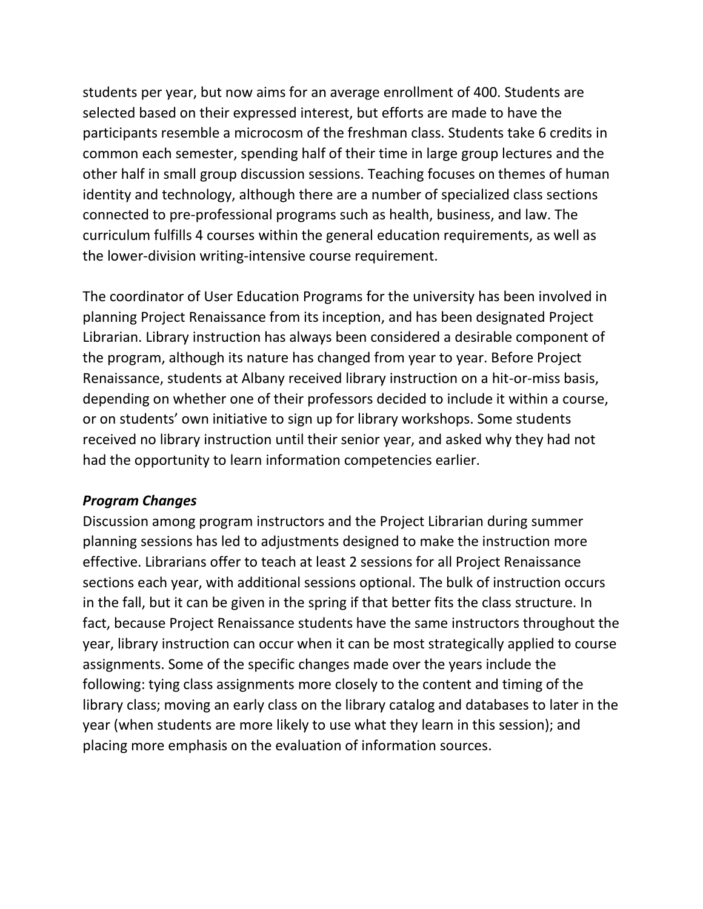students per year, but now aims for an average enrollment of 400. Students are selected based on their expressed interest, but efforts are made to have the participants resemble a microcosm of the freshman class. Students take 6 credits in common each semester, spending half of their time in large group lectures and the other half in small group discussion sessions. Teaching focuses on themes of human identity and technology, although there are a number of specialized class sections connected to pre-professional programs such as health, business, and law. The curriculum fulfills 4 courses within the general education requirements, as well as the lower-division writing-intensive course requirement.

The coordinator of User Education Programs for the university has been involved in planning Project Renaissance from its inception, and has been designated Project Librarian. Library instruction has always been considered a desirable component of the program, although its nature has changed from year to year. Before Project Renaissance, students at Albany received library instruction on a hit-or-miss basis, depending on whether one of their professors decided to include it within a course, or on students' own initiative to sign up for library workshops. Some students received no library instruction until their senior year, and asked why they had not had the opportunity to learn information competencies earlier.

#### *Program Changes*

Discussion among program instructors and the Project Librarian during summer planning sessions has led to adjustments designed to make the instruction more effective. Librarians offer to teach at least 2 sessions for all Project Renaissance sections each year, with additional sessions optional. The bulk of instruction occurs in the fall, but it can be given in the spring if that better fits the class structure. In fact, because Project Renaissance students have the same instructors throughout the year, library instruction can occur when it can be most strategically applied to course assignments. Some of the specific changes made over the years include the following: tying class assignments more closely to the content and timing of the library class; moving an early class on the library catalog and databases to later in the year (when students are more likely to use what they learn in this session); and placing more emphasis on the evaluation of information sources.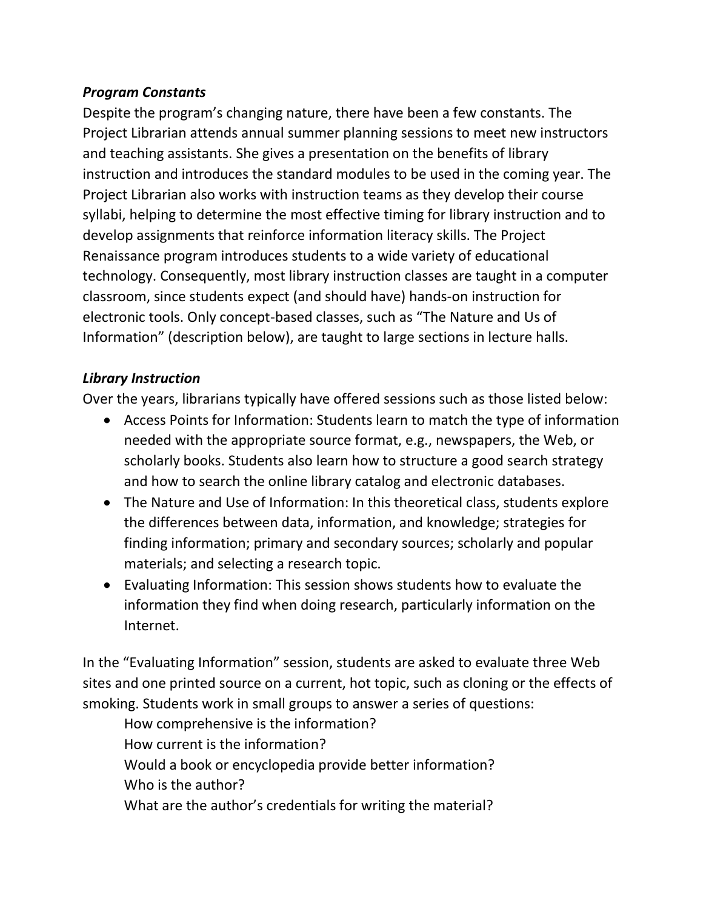### *Program Constants*

Despite the program's changing nature, there have been a few constants. The Project Librarian attends annual summer planning sessions to meet new instructors and teaching assistants. She gives a presentation on the benefits of library instruction and introduces the standard modules to be used in the coming year. The Project Librarian also works with instruction teams as they develop their course syllabi, helping to determine the most effective timing for library instruction and to develop assignments that reinforce information literacy skills. The Project Renaissance program introduces students to a wide variety of educational technology. Consequently, most library instruction classes are taught in a computer classroom, since students expect (and should have) hands-on instruction for electronic tools. Only concept-based classes, such as "The Nature and Us of Information" (description below), are taught to large sections in lecture halls.

# *Library Instruction*

Over the years, librarians typically have offered sessions such as those listed below:

- Access Points for Information: Students learn to match the type of information needed with the appropriate source format, e.g., newspapers, the Web, or scholarly books. Students also learn how to structure a good search strategy and how to search the online library catalog and electronic databases.
- The Nature and Use of Information: In this theoretical class, students explore the differences between data, information, and knowledge; strategies for finding information; primary and secondary sources; scholarly and popular materials; and selecting a research topic.
- Evaluating Information: This session shows students how to evaluate the information they find when doing research, particularly information on the Internet.

In the "Evaluating Information" session, students are asked to evaluate three Web sites and one printed source on a current, hot topic, such as cloning or the effects of smoking. Students work in small groups to answer a series of questions:

How comprehensive is the information? How current is the information? Would a book or encyclopedia provide better information? Who is the author? What are the author's credentials for writing the material?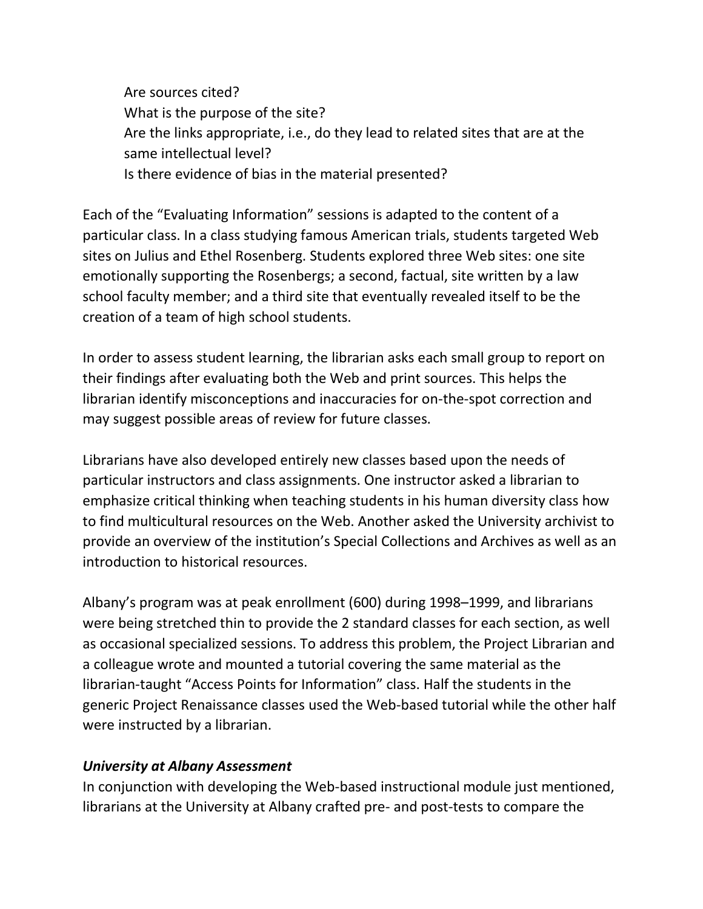Are sources cited? What is the purpose of the site? Are the links appropriate, i.e., do they lead to related sites that are at the same intellectual level? Is there evidence of bias in the material presented?

Each of the "Evaluating Information" sessions is adapted to the content of a particular class. In a class studying famous American trials, students targeted Web sites on Julius and Ethel Rosenberg. Students explored three Web sites: one site emotionally supporting the Rosenbergs; a second, factual, site written by a law school faculty member; and a third site that eventually revealed itself to be the creation of a team of high school students.

In order to assess student learning, the librarian asks each small group to report on their findings after evaluating both the Web and print sources. This helps the librarian identify misconceptions and inaccuracies for on-the-spot correction and may suggest possible areas of review for future classes.

Librarians have also developed entirely new classes based upon the needs of particular instructors and class assignments. One instructor asked a librarian to emphasize critical thinking when teaching students in his human diversity class how to find multicultural resources on the Web. Another asked the University archivist to provide an overview of the institution's Special Collections and Archives as well as an introduction to historical resources.

Albany's program was at peak enrollment (600) during 1998–1999, and librarians were being stretched thin to provide the 2 standard classes for each section, as well as occasional specialized sessions. To address this problem, the Project Librarian and a colleague wrote and mounted a tutorial covering the same material as the librarian-taught "Access Points for Information" class. Half the students in the generic Project Renaissance classes used the Web-based tutorial while the other half were instructed by a librarian.

#### *University at Albany Assessment*

In conjunction with developing the Web-based instructional module just mentioned, librarians at the University at Albany crafted pre- and post-tests to compare the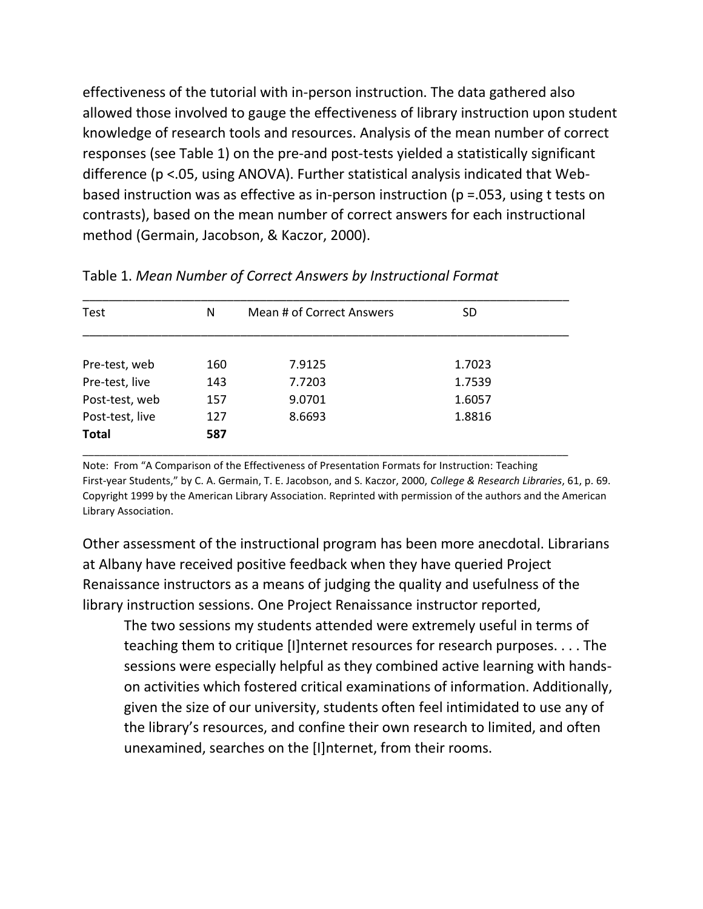effectiveness of the tutorial with in-person instruction. The data gathered also allowed those involved to gauge the effectiveness of library instruction upon student knowledge of research tools and resources. Analysis of the mean number of correct responses (see Table 1) on the pre-and post-tests yielded a statistically significant difference (p <.05, using ANOVA). Further statistical analysis indicated that Webbased instruction was as effective as in-person instruction (p =.053, using t tests on contrasts), based on the mean number of correct answers for each instructional method (Germain, Jacobson, & Kaczor, 2000).

| Test            | N   | Mean # of Correct Answers | <b>SD</b> |  |
|-----------------|-----|---------------------------|-----------|--|
|                 |     |                           |           |  |
| Pre-test, web   | 160 | 7.9125                    | 1.7023    |  |
| Pre-test, live  | 143 | 7.7203                    | 1.7539    |  |
| Post-test, web  | 157 | 9.0701                    | 1.6057    |  |
| Post-test, live | 127 | 8.6693                    | 1.8816    |  |
| <b>Total</b>    | 587 |                           |           |  |

| Table 1. Mean Number of Correct Answers by Instructional Format |  |  |  |  |
|-----------------------------------------------------------------|--|--|--|--|
|-----------------------------------------------------------------|--|--|--|--|

Note: From "A Comparison of the Effectiveness of Presentation Formats for Instruction: Teaching First-year Students," by C. A. Germain, T. E. Jacobson, and S. Kaczor, 2000, *College & Research Libraries*, 61, p. 69. Copyright 1999 by the American Library Association. Reprinted with permission of the authors and the American Library Association.

Other assessment of the instructional program has been more anecdotal. Librarians at Albany have received positive feedback when they have queried Project Renaissance instructors as a means of judging the quality and usefulness of the library instruction sessions. One Project Renaissance instructor reported,

The two sessions my students attended were extremely useful in terms of teaching them to critique [I]nternet resources for research purposes. . . . The sessions were especially helpful as they combined active learning with handson activities which fostered critical examinations of information. Additionally, given the size of our university, students often feel intimidated to use any of the library's resources, and confine their own research to limited, and often unexamined, searches on the [I]nternet, from their rooms.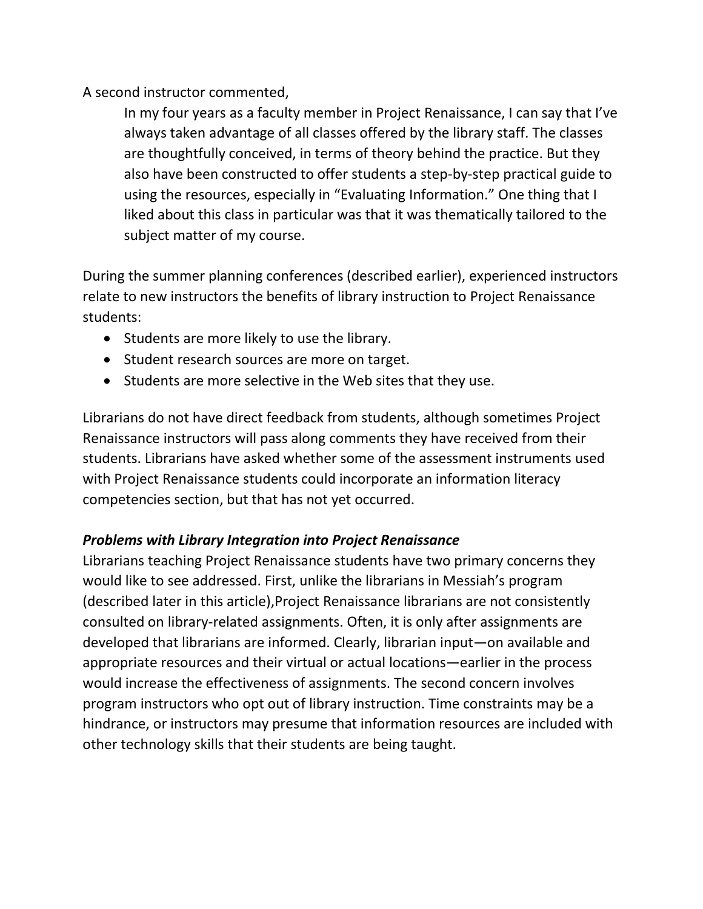A second instructor commented,

In my four years as a faculty member in Project Renaissance, I can say that I've always taken advantage of all classes offered by the library staff. The classes are thoughtfully conceived, in terms of theory behind the practice. But they also have been constructed to offer students a step-by-step practical guide to using the resources, especially in "Evaluating Information." One thing that I liked about this class in particular was that it was thematically tailored to the subject matter of my course.

During the summer planning conferences (described earlier), experienced instructors relate to new instructors the benefits of library instruction to Project Renaissance students:

- Students are more likely to use the library.
- Student research sources are more on target.
- Students are more selective in the Web sites that they use.

Librarians do not have direct feedback from students, although sometimes Project Renaissance instructors will pass along comments they have received from their students. Librarians have asked whether some of the assessment instruments used with Project Renaissance students could incorporate an information literacy competencies section, but that has not yet occurred.

### *Problems with Library Integration into Project Renaissance*

Librarians teaching Project Renaissance students have two primary concerns they would like to see addressed. First, unlike the librarians in Messiah's program (described later in this article),Project Renaissance librarians are not consistently consulted on library-related assignments. Often, it is only after assignments are developed that librarians are informed. Clearly, librarian input—on available and appropriate resources and their virtual or actual locations—earlier in the process would increase the effectiveness of assignments. The second concern involves program instructors who opt out of library instruction. Time constraints may be a hindrance, or instructors may presume that information resources are included with other technology skills that their students are being taught.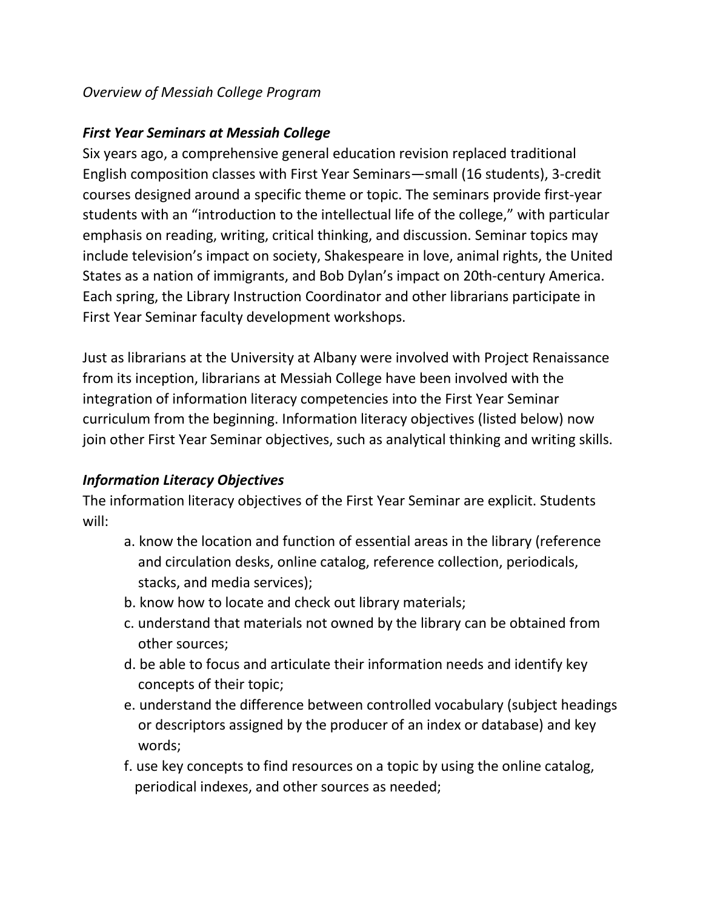#### *Overview of Messiah College Program*

#### *First Year Seminars at Messiah College*

Six years ago, a comprehensive general education revision replaced traditional English composition classes with First Year Seminars—small (16 students), 3-credit courses designed around a specific theme or topic. The seminars provide first-year students with an "introduction to the intellectual life of the college," with particular emphasis on reading, writing, critical thinking, and discussion. Seminar topics may include television's impact on society, Shakespeare in love, animal rights, the United States as a nation of immigrants, and Bob Dylan's impact on 20th-century America. Each spring, the Library Instruction Coordinator and other librarians participate in First Year Seminar faculty development workshops.

Just as librarians at the University at Albany were involved with Project Renaissance from its inception, librarians at Messiah College have been involved with the integration of information literacy competencies into the First Year Seminar curriculum from the beginning. Information literacy objectives (listed below) now join other First Year Seminar objectives, such as analytical thinking and writing skills.

### *Information Literacy Objectives*

The information literacy objectives of the First Year Seminar are explicit. Students will:

- a. know the location and function of essential areas in the library (reference and circulation desks, online catalog, reference collection, periodicals, stacks, and media services);
- b. know how to locate and check out library materials;
- c. understand that materials not owned by the library can be obtained from other sources;
- d. be able to focus and articulate their information needs and identify key concepts of their topic;
- e. understand the difference between controlled vocabulary (subject headings or descriptors assigned by the producer of an index or database) and key words;
- f. use key concepts to find resources on a topic by using the online catalog, periodical indexes, and other sources as needed;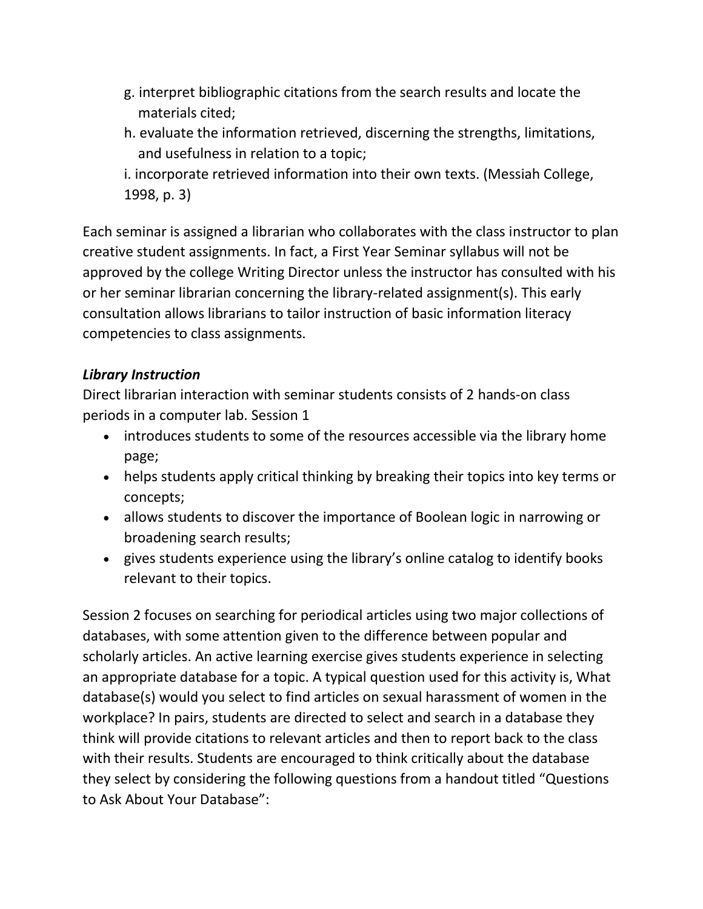- g. interpret bibliographic citations from the search results and locate the materials cited;
- h. evaluate the information retrieved, discerning the strengths, limitations, and usefulness in relation to a topic;
- i. incorporate retrieved information into their own texts. (Messiah College, 1998, p. 3)

Each seminar is assigned a librarian who collaborates with the class instructor to plan creative student assignments. In fact, a First Year Seminar syllabus will not be approved by the college Writing Director unless the instructor has consulted with his or her seminar librarian concerning the library-related assignment(s). This early consultation allows librarians to tailor instruction of basic information literacy competencies to class assignments.

### *Library Instruction*

Direct librarian interaction with seminar students consists of 2 hands-on class periods in a computer lab. Session 1

- introduces students to some of the resources accessible via the library home page;
- helps students apply critical thinking by breaking their topics into key terms or concepts;
- allows students to discover the importance of Boolean logic in narrowing or broadening search results;
- gives students experience using the library's online catalog to identify books relevant to their topics.

Session 2 focuses on searching for periodical articles using two major collections of databases, with some attention given to the difference between popular and scholarly articles. An active learning exercise gives students experience in selecting an appropriate database for a topic. A typical question used for this activity is, What database(s) would you select to find articles on sexual harassment of women in the workplace? In pairs, students are directed to select and search in a database they think will provide citations to relevant articles and then to report back to the class with their results. Students are encouraged to think critically about the database they select by considering the following questions from a handout titled "Questions to Ask About Your Database":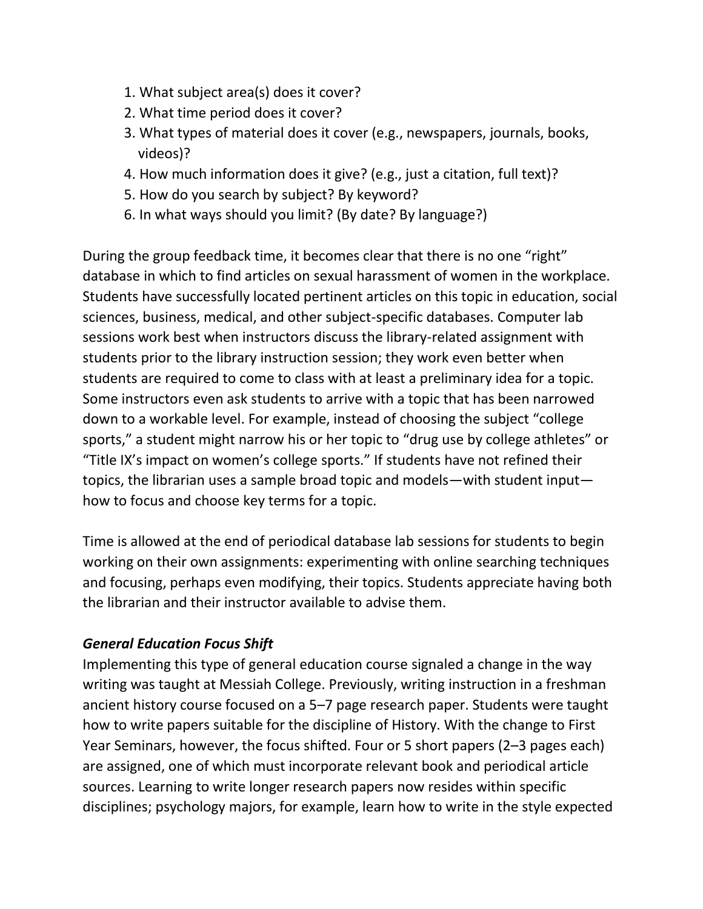- 1. What subject area(s) does it cover?
- 2. What time period does it cover?
- 3. What types of material does it cover (e.g., newspapers, journals, books, videos)?
- 4. How much information does it give? (e.g., just a citation, full text)?
- 5. How do you search by subject? By keyword?
- 6. In what ways should you limit? (By date? By language?)

During the group feedback time, it becomes clear that there is no one "right" database in which to find articles on sexual harassment of women in the workplace. Students have successfully located pertinent articles on this topic in education, social sciences, business, medical, and other subject-specific databases. Computer lab sessions work best when instructors discuss the library-related assignment with students prior to the library instruction session; they work even better when students are required to come to class with at least a preliminary idea for a topic. Some instructors even ask students to arrive with a topic that has been narrowed down to a workable level. For example, instead of choosing the subject "college sports," a student might narrow his or her topic to "drug use by college athletes" or "Title IX's impact on women's college sports." If students have not refined their topics, the librarian uses a sample broad topic and models—with student input how to focus and choose key terms for a topic.

Time is allowed at the end of periodical database lab sessions for students to begin working on their own assignments: experimenting with online searching techniques and focusing, perhaps even modifying, their topics. Students appreciate having both the librarian and their instructor available to advise them.

### *General Education Focus Shift*

Implementing this type of general education course signaled a change in the way writing was taught at Messiah College. Previously, writing instruction in a freshman ancient history course focused on a 5–7 page research paper. Students were taught how to write papers suitable for the discipline of History. With the change to First Year Seminars, however, the focus shifted. Four or 5 short papers (2–3 pages each) are assigned, one of which must incorporate relevant book and periodical article sources. Learning to write longer research papers now resides within specific disciplines; psychology majors, for example, learn how to write in the style expected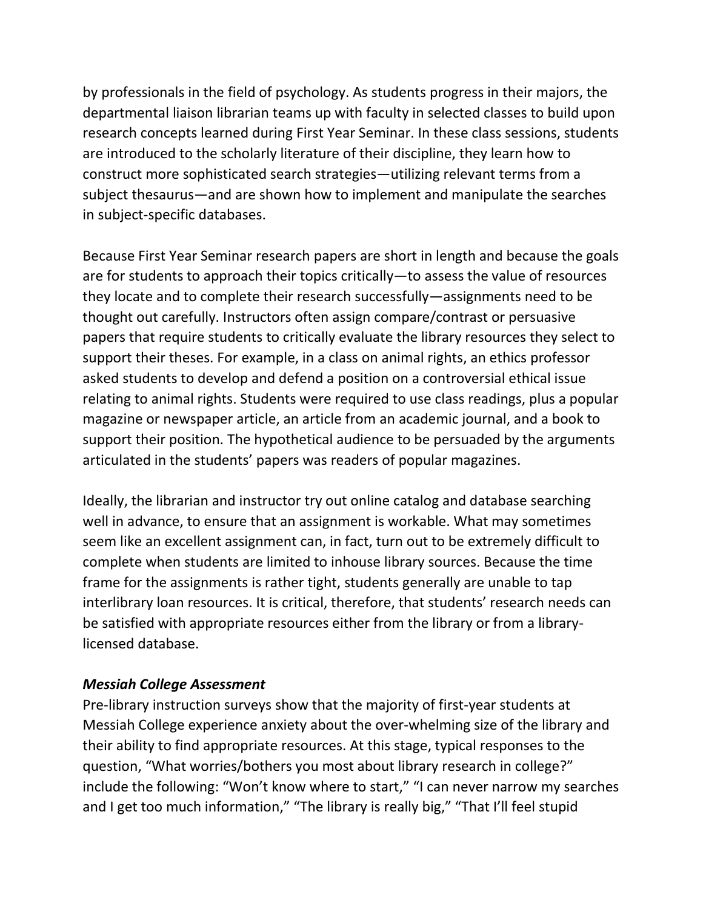by professionals in the field of psychology. As students progress in their majors, the departmental liaison librarian teams up with faculty in selected classes to build upon research concepts learned during First Year Seminar. In these class sessions, students are introduced to the scholarly literature of their discipline, they learn how to construct more sophisticated search strategies—utilizing relevant terms from a subject thesaurus—and are shown how to implement and manipulate the searches in subject-specific databases.

Because First Year Seminar research papers are short in length and because the goals are for students to approach their topics critically—to assess the value of resources they locate and to complete their research successfully—assignments need to be thought out carefully. Instructors often assign compare/contrast or persuasive papers that require students to critically evaluate the library resources they select to support their theses. For example, in a class on animal rights, an ethics professor asked students to develop and defend a position on a controversial ethical issue relating to animal rights. Students were required to use class readings, plus a popular magazine or newspaper article, an article from an academic journal, and a book to support their position. The hypothetical audience to be persuaded by the arguments articulated in the students' papers was readers of popular magazines.

Ideally, the librarian and instructor try out online catalog and database searching well in advance, to ensure that an assignment is workable. What may sometimes seem like an excellent assignment can, in fact, turn out to be extremely difficult to complete when students are limited to inhouse library sources. Because the time frame for the assignments is rather tight, students generally are unable to tap interlibrary loan resources. It is critical, therefore, that students' research needs can be satisfied with appropriate resources either from the library or from a librarylicensed database.

### *Messiah College Assessment*

Pre-library instruction surveys show that the majority of first-year students at Messiah College experience anxiety about the over-whelming size of the library and their ability to find appropriate resources. At this stage, typical responses to the question, "What worries/bothers you most about library research in college?" include the following: "Won't know where to start," "I can never narrow my searches and I get too much information," "The library is really big," "That I'll feel stupid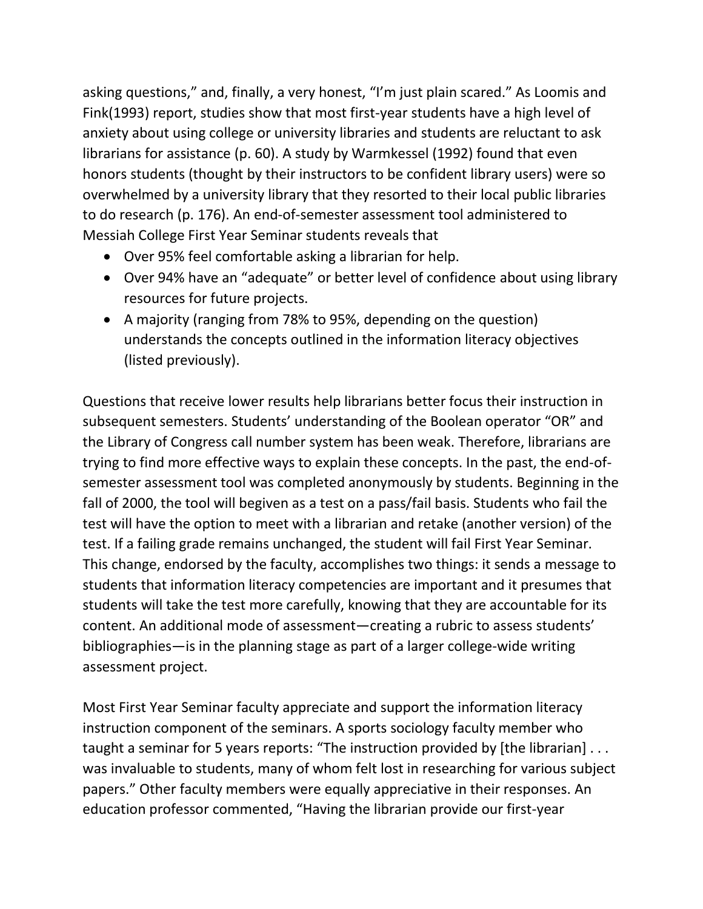asking questions," and, finally, a very honest, "I'm just plain scared." As Loomis and Fink(1993) report, studies show that most first-year students have a high level of anxiety about using college or university libraries and students are reluctant to ask librarians for assistance (p. 60). A study by Warmkessel (1992) found that even honors students (thought by their instructors to be confident library users) were so overwhelmed by a university library that they resorted to their local public libraries to do research (p. 176). An end-of-semester assessment tool administered to Messiah College First Year Seminar students reveals that

- Over 95% feel comfortable asking a librarian for help.
- Over 94% have an "adequate" or better level of confidence about using library resources for future projects.
- A majority (ranging from 78% to 95%, depending on the question) understands the concepts outlined in the information literacy objectives (listed previously).

Questions that receive lower results help librarians better focus their instruction in subsequent semesters. Students' understanding of the Boolean operator "OR" and the Library of Congress call number system has been weak. Therefore, librarians are trying to find more effective ways to explain these concepts. In the past, the end-ofsemester assessment tool was completed anonymously by students. Beginning in the fall of 2000, the tool will begiven as a test on a pass/fail basis. Students who fail the test will have the option to meet with a librarian and retake (another version) of the test. If a failing grade remains unchanged, the student will fail First Year Seminar. This change, endorsed by the faculty, accomplishes two things: it sends a message to students that information literacy competencies are important and it presumes that students will take the test more carefully, knowing that they are accountable for its content. An additional mode of assessment—creating a rubric to assess students' bibliographies—is in the planning stage as part of a larger college-wide writing assessment project.

Most First Year Seminar faculty appreciate and support the information literacy instruction component of the seminars. A sports sociology faculty member who taught a seminar for 5 years reports: "The instruction provided by [the librarian] . . . was invaluable to students, many of whom felt lost in researching for various subject papers." Other faculty members were equally appreciative in their responses. An education professor commented, "Having the librarian provide our first-year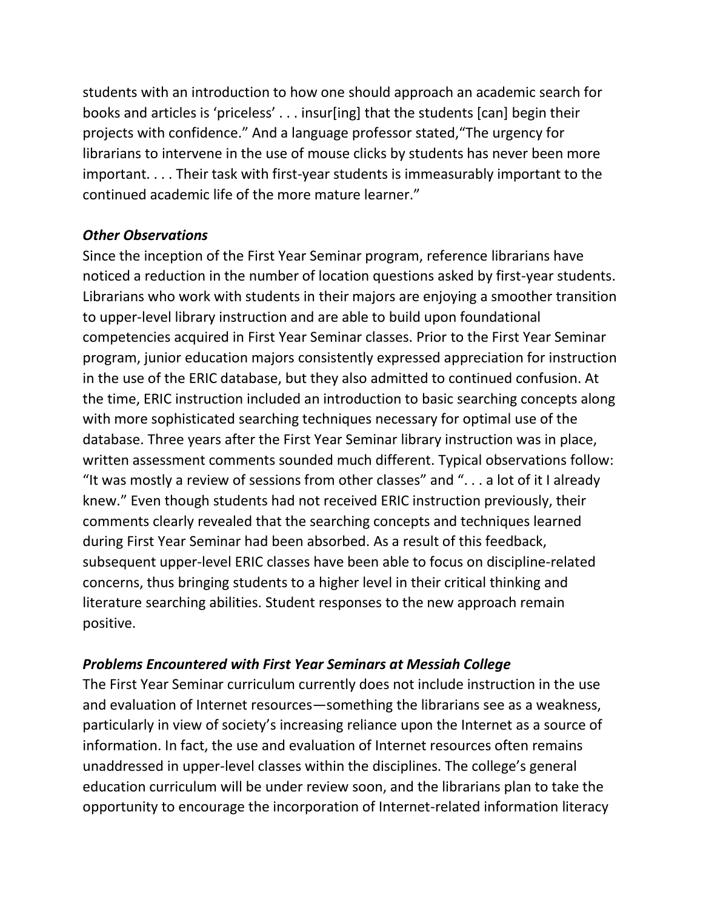students with an introduction to how one should approach an academic search for books and articles is 'priceless' . . . insur[ing] that the students [can] begin their projects with confidence." And a language professor stated,"The urgency for librarians to intervene in the use of mouse clicks by students has never been more important. . . . Their task with first-year students is immeasurably important to the continued academic life of the more mature learner."

### *Other Observations*

Since the inception of the First Year Seminar program, reference librarians have noticed a reduction in the number of location questions asked by first-year students. Librarians who work with students in their majors are enjoying a smoother transition to upper-level library instruction and are able to build upon foundational competencies acquired in First Year Seminar classes. Prior to the First Year Seminar program, junior education majors consistently expressed appreciation for instruction in the use of the ERIC database, but they also admitted to continued confusion. At the time, ERIC instruction included an introduction to basic searching concepts along with more sophisticated searching techniques necessary for optimal use of the database. Three years after the First Year Seminar library instruction was in place, written assessment comments sounded much different. Typical observations follow: "It was mostly a review of sessions from other classes" and ". . . a lot of it I already knew." Even though students had not received ERIC instruction previously, their comments clearly revealed that the searching concepts and techniques learned during First Year Seminar had been absorbed. As a result of this feedback, subsequent upper-level ERIC classes have been able to focus on discipline-related concerns, thus bringing students to a higher level in their critical thinking and literature searching abilities. Student responses to the new approach remain positive.

### *Problems Encountered with First Year Seminars at Messiah College*

The First Year Seminar curriculum currently does not include instruction in the use and evaluation of Internet resources—something the librarians see as a weakness, particularly in view of society's increasing reliance upon the Internet as a source of information. In fact, the use and evaluation of Internet resources often remains unaddressed in upper-level classes within the disciplines. The college's general education curriculum will be under review soon, and the librarians plan to take the opportunity to encourage the incorporation of Internet-related information literacy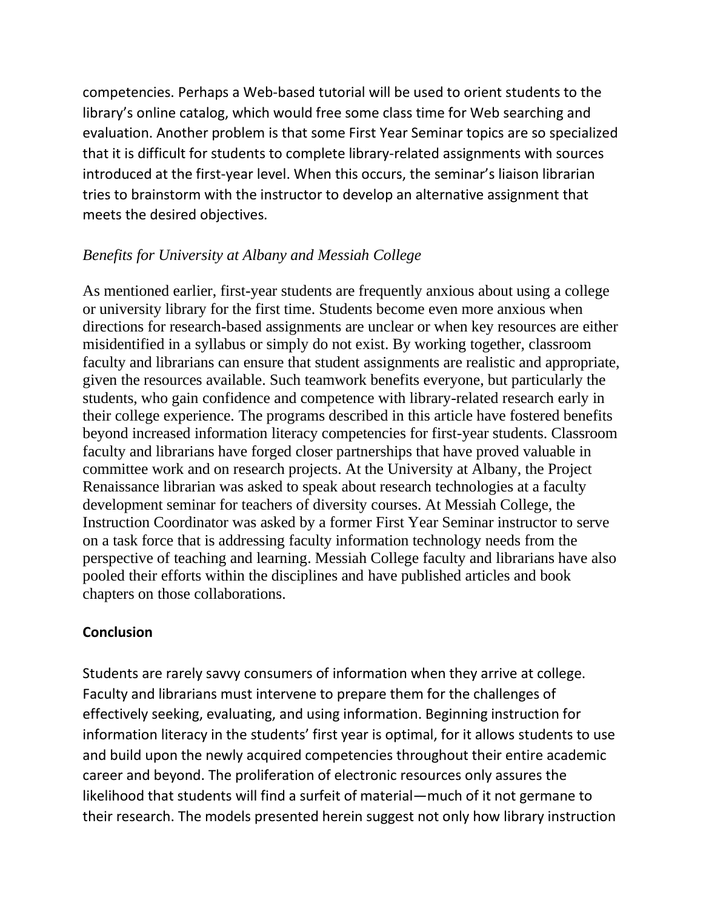competencies. Perhaps a Web-based tutorial will be used to orient students to the library's online catalog, which would free some class time for Web searching and evaluation. Another problem is that some First Year Seminar topics are so specialized that it is difficult for students to complete library-related assignments with sources introduced at the first-year level. When this occurs, the seminar's liaison librarian tries to brainstorm with the instructor to develop an alternative assignment that meets the desired objectives.

### *Benefits for University at Albany and Messiah College*

As mentioned earlier, first-year students are frequently anxious about using a college or university library for the first time. Students become even more anxious when directions for research-based assignments are unclear or when key resources are either misidentified in a syllabus or simply do not exist. By working together, classroom faculty and librarians can ensure that student assignments are realistic and appropriate, given the resources available. Such teamwork benefits everyone, but particularly the students, who gain confidence and competence with library-related research early in their college experience. The programs described in this article have fostered benefits beyond increased information literacy competencies for first-year students. Classroom faculty and librarians have forged closer partnerships that have proved valuable in committee work and on research projects. At the University at Albany, the Project Renaissance librarian was asked to speak about research technologies at a faculty development seminar for teachers of diversity courses. At Messiah College, the Instruction Coordinator was asked by a former First Year Seminar instructor to serve on a task force that is addressing faculty information technology needs from the perspective of teaching and learning. Messiah College faculty and librarians have also pooled their efforts within the disciplines and have published articles and book chapters on those collaborations.

### **Conclusion**

Students are rarely savvy consumers of information when they arrive at college. Faculty and librarians must intervene to prepare them for the challenges of effectively seeking, evaluating, and using information. Beginning instruction for information literacy in the students' first year is optimal, for it allows students to use and build upon the newly acquired competencies throughout their entire academic career and beyond. The proliferation of electronic resources only assures the likelihood that students will find a surfeit of material—much of it not germane to their research. The models presented herein suggest not only how library instruction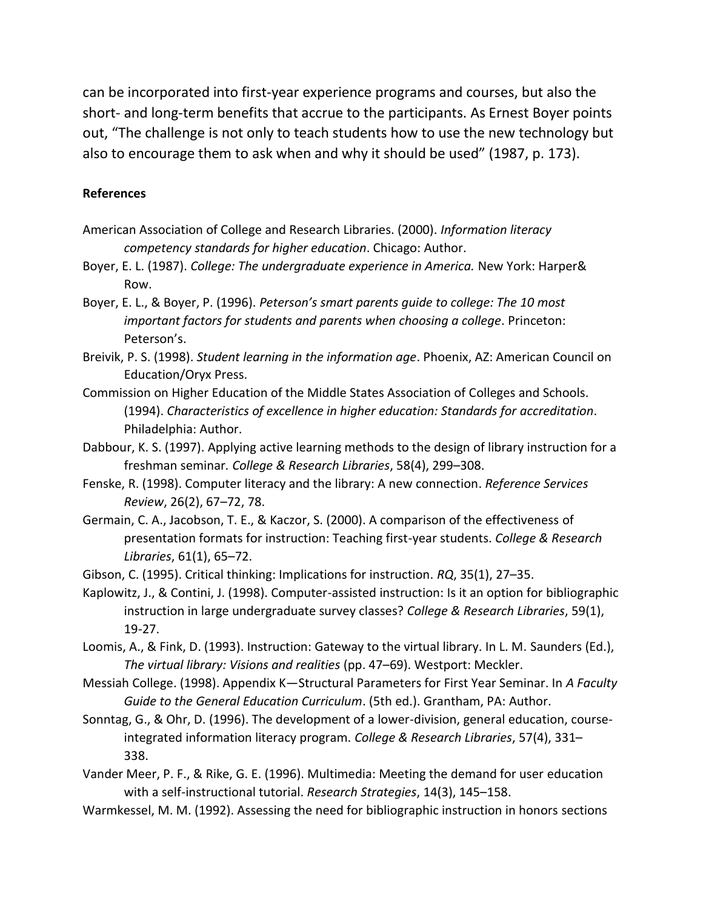can be incorporated into first-year experience programs and courses, but also the short- and long-term benefits that accrue to the participants. As Ernest Boyer points out, "The challenge is not only to teach students how to use the new technology but also to encourage them to ask when and why it should be used" (1987, p. 173).

#### **References**

- American Association of College and Research Libraries. (2000). *Information literacy competency standards for higher education*. Chicago: Author.
- Boyer, E. L. (1987). *College: The undergraduate experience in America.* New York: Harper& Row.
- Boyer, E. L., & Boyer, P. (1996). *Peterson's smart parents guide to college: The 10 most important factors for students and parents when choosing a college*. Princeton: Peterson's.
- Breivik, P. S. (1998). *Student learning in the information age*. Phoenix, AZ: American Council on Education/Oryx Press.
- Commission on Higher Education of the Middle States Association of Colleges and Schools. (1994). *Characteristics of excellence in higher education: Standards for accreditation*. Philadelphia: Author.
- Dabbour, K. S. (1997). Applying active learning methods to the design of library instruction for a freshman seminar*. College & Research Libraries*, 58(4), 299–308.
- Fenske, R. (1998). Computer literacy and the library: A new connection. *Reference Services Review*, 26(2), 67–72, 78.
- Germain, C. A., Jacobson, T. E., & Kaczor, S. (2000). A comparison of the effectiveness of presentation formats for instruction: Teaching first-year students. *College & Research Libraries*, 61(1), 65–72.
- Gibson, C. (1995). Critical thinking: Implications for instruction. *RQ*, 35(1), 27–35.
- Kaplowitz, J., & Contini, J. (1998). Computer-assisted instruction: Is it an option for bibliographic instruction in large undergraduate survey classes? *College & Research Libraries*, 59(1), 19-27.
- Loomis, A., & Fink, D. (1993). Instruction: Gateway to the virtual library. In L. M. Saunders (Ed.), *The virtual library: Visions and realities* (pp. 47–69). Westport: Meckler.
- Messiah College. (1998). Appendix K—Structural Parameters for First Year Seminar. In *A Faculty Guide to the General Education Curriculum*. (5th ed.). Grantham, PA: Author.
- Sonntag, G., & Ohr, D. (1996). The development of a lower-division, general education, courseintegrated information literacy program. *College & Research Libraries*, 57(4), 331– 338.
- Vander Meer, P. F., & Rike, G. E. (1996). Multimedia: Meeting the demand for user education with a self-instructional tutorial. *Research Strategies*, 14(3), 145–158.
- Warmkessel, M. M. (1992). Assessing the need for bibliographic instruction in honors sections